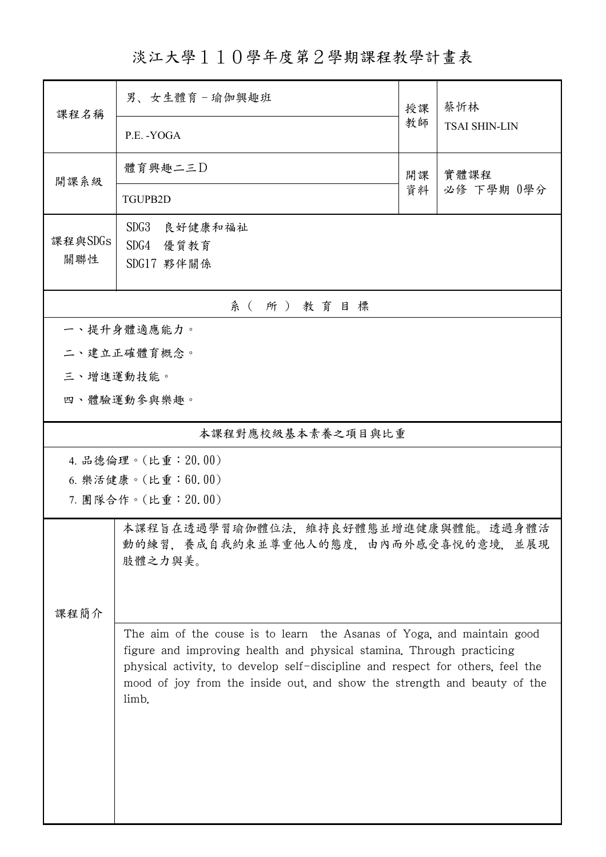淡江大學110學年度第2學期課程教學計畫表

| 課程名稱                                       | 男、女生體育-瑜伽興趣班<br>授課                                                                                                                                                                                                                                                                                                    |          | 蔡忻林                  |  |  |  |
|--------------------------------------------|-----------------------------------------------------------------------------------------------------------------------------------------------------------------------------------------------------------------------------------------------------------------------------------------------------------------------|----------|----------------------|--|--|--|
|                                            | P.E. - YOGA                                                                                                                                                                                                                                                                                                           | 教師       | <b>TSAI SHIN-LIN</b> |  |  |  |
| 開課系級                                       | 體育興趣二三D                                                                                                                                                                                                                                                                                                               | 開課<br>資料 | 實體課程<br>必修 下學期 0學分   |  |  |  |
|                                            | TGUPB2D                                                                                                                                                                                                                                                                                                               |          |                      |  |  |  |
| 課程與SDGs<br>關聯性                             | SDG <sub>3</sub><br>良好健康和福祉<br>SDG4 優質教育<br>SDG17 夥伴關係                                                                                                                                                                                                                                                                |          |                      |  |  |  |
| 系(所)教育目標                                   |                                                                                                                                                                                                                                                                                                                       |          |                      |  |  |  |
| 一、提升身體適應能力。                                |                                                                                                                                                                                                                                                                                                                       |          |                      |  |  |  |
| 二、建立正確體育概念。                                |                                                                                                                                                                                                                                                                                                                       |          |                      |  |  |  |
| 三、增進運動技能。                                  |                                                                                                                                                                                                                                                                                                                       |          |                      |  |  |  |
|                                            | 四、體驗運動參與樂趣。                                                                                                                                                                                                                                                                                                           |          |                      |  |  |  |
| 本課程對應校級基本素養之項目與比重                          |                                                                                                                                                                                                                                                                                                                       |          |                      |  |  |  |
| 4. 品德倫理。(比重: 20.00)                        |                                                                                                                                                                                                                                                                                                                       |          |                      |  |  |  |
| 6. 樂活健康。(比重: 60.00)<br>7. 團隊合作。(比重: 20.00) |                                                                                                                                                                                                                                                                                                                       |          |                      |  |  |  |
| 課程簡介                                       | 本課程旨在透過學習瑜伽體位法,維持良好體態並增進健康與體能。透過身體活<br>動的練習,養成自我約束並尊重他人的態度,由內而外感受喜悅的意境,並展現<br>肢體之力與美。                                                                                                                                                                                                                                 |          |                      |  |  |  |
|                                            | The aim of the couse is to learn the Asanas of Yoga, and maintain good<br>figure and improving health and physical stamina. Through practicing<br>physical activity, to develop self-discipline and respect for others, feel the<br>mood of joy from the inside out, and show the strength and beauty of the<br>limb. |          |                      |  |  |  |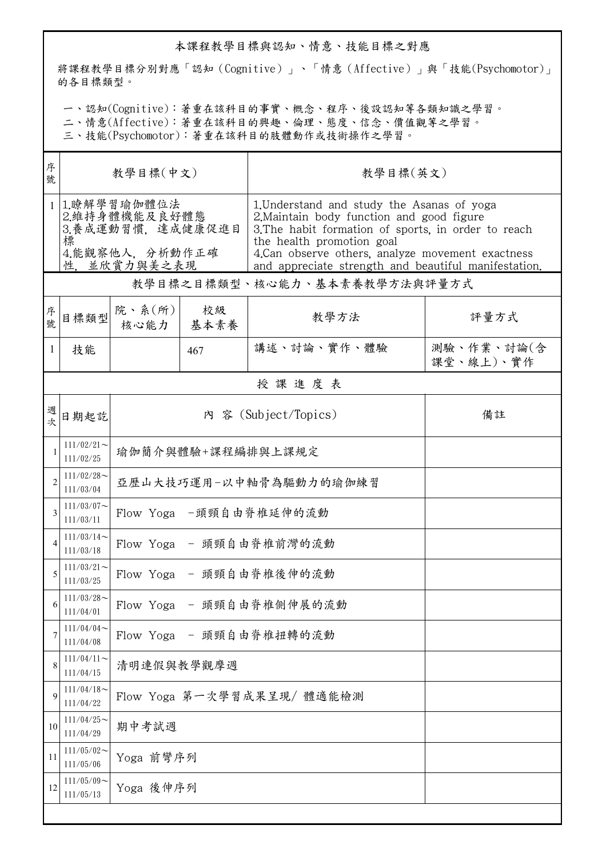## 本課程教學目標與認知、情意、技能目標之對應

將課程教學目標分別對應「認知(Cognitive)」、「情意(Affective)」與「技能(Psychomotor)」 的各目標類型。

一、認知(Cognitive):著重在該科目的事實、概念、程序、後設認知等各類知識之學習。

二、情意(Affective):著重在該科目的興趣、倫理、態度、信念、價值觀等之學習。

三、技能(Psychomotor):著重在該科目的肢體動作或技術操作之學習。

| 序<br>號         | 教學目標(中文)                                                                                |                              |            | 教學目標(英文)                                                                                                                                                                                                                                                                                 |                         |  |  |  |  |
|----------------|-----------------------------------------------------------------------------------------|------------------------------|------------|------------------------------------------------------------------------------------------------------------------------------------------------------------------------------------------------------------------------------------------------------------------------------------------|-------------------------|--|--|--|--|
| $\mathbf{1}$   | 1.瞭解學習瑜伽體位法<br>2.維持身體機能及良好體態<br>3.養成運動習慣,達成健康促進目<br>標<br>4.能觀察他人, 分析動作正確<br>性,並欣賞力與美之表現 |                              |            | 1. Understand and study the Asanas of yoga<br>2. Maintain body function and good figure<br>3. The habit formation of sports, in order to reach<br>the health promotion goal<br>4. Can observe others, analyze movement exactness<br>and appreciate strength and beautiful manifestation. |                         |  |  |  |  |
|                | 教學目標之目標類型、核心能力、基本素養教學方法與評量方式                                                            |                              |            |                                                                                                                                                                                                                                                                                          |                         |  |  |  |  |
| 序<br>號.        | 目標類型                                                                                    | 院、系 $(\hbox{\tt m})$<br>核心能力 | 校級<br>基本素養 | 教學方法                                                                                                                                                                                                                                                                                     | 評量方式                    |  |  |  |  |
| 1              | 技能                                                                                      |                              | 467        | 講述、討論、實作、體驗                                                                                                                                                                                                                                                                              | 測驗、作業、討論(含<br>課堂、線上)、實作 |  |  |  |  |
|                | 授課進度表                                                                                   |                              |            |                                                                                                                                                                                                                                                                                          |                         |  |  |  |  |
| 週<br>坎         | 日期起訖                                                                                    |                              |            | 內 容 (Subject/Topics)                                                                                                                                                                                                                                                                     | 備註                      |  |  |  |  |
|                | $111/02/21$ ~<br>111/02/25                                                              | 瑜伽簡介與體驗+課程編排與上課規定            |            |                                                                                                                                                                                                                                                                                          |                         |  |  |  |  |
| $\overline{2}$ | $111/02/28$ ~<br>111/03/04                                                              | 亞歷山大技巧運用-以中軸骨為驅動力的瑜伽練習       |            |                                                                                                                                                                                                                                                                                          |                         |  |  |  |  |
| 3              | $111/03/07$ ~<br>111/03/11                                                              | Flow Yoga -頭頸自由脊椎延伸的流動       |            |                                                                                                                                                                                                                                                                                          |                         |  |  |  |  |
|                | $111/03/14$ ~<br>111/03/18                                                              | Flow Yoga - 頭頸自由脊椎前灣的流動      |            |                                                                                                                                                                                                                                                                                          |                         |  |  |  |  |
| 5              | $111/03/21$ ~<br>111/03/25                                                              | Flow Yoga - 頭頸自由脊椎後伸的流動      |            |                                                                                                                                                                                                                                                                                          |                         |  |  |  |  |
| 6              | $111/03/28$ ~<br>111/04/01                                                              | Flow Yoga - 頭頸自由脊椎側伸展的流動     |            |                                                                                                                                                                                                                                                                                          |                         |  |  |  |  |
| 7              | $111/04/04$ ~<br>111/04/08                                                              | Flow Yoga - 頭頸自由脊椎扭轉的流動      |            |                                                                                                                                                                                                                                                                                          |                         |  |  |  |  |
| 8              | $111/04/11$ ~<br>111/04/15                                                              | 清明連假與教學觀摩週                   |            |                                                                                                                                                                                                                                                                                          |                         |  |  |  |  |
| $\mathbf Q$    | $111/04/18$ ~<br>111/04/22                                                              | Flow Yoga 第一次學習成果呈現/ 體適能檢測   |            |                                                                                                                                                                                                                                                                                          |                         |  |  |  |  |
| 10             | $111/04/25$ ~<br>111/04/29                                                              | 期中考試週                        |            |                                                                                                                                                                                                                                                                                          |                         |  |  |  |  |
| 11             | $111/05/02$ ~<br>111/05/06                                                              | Yoga 前彎序列                    |            |                                                                                                                                                                                                                                                                                          |                         |  |  |  |  |
| 12             | $111/05/09$ ~<br>111/05/13                                                              | Yoga 後伸序列                    |            |                                                                                                                                                                                                                                                                                          |                         |  |  |  |  |
|                |                                                                                         |                              |            |                                                                                                                                                                                                                                                                                          |                         |  |  |  |  |